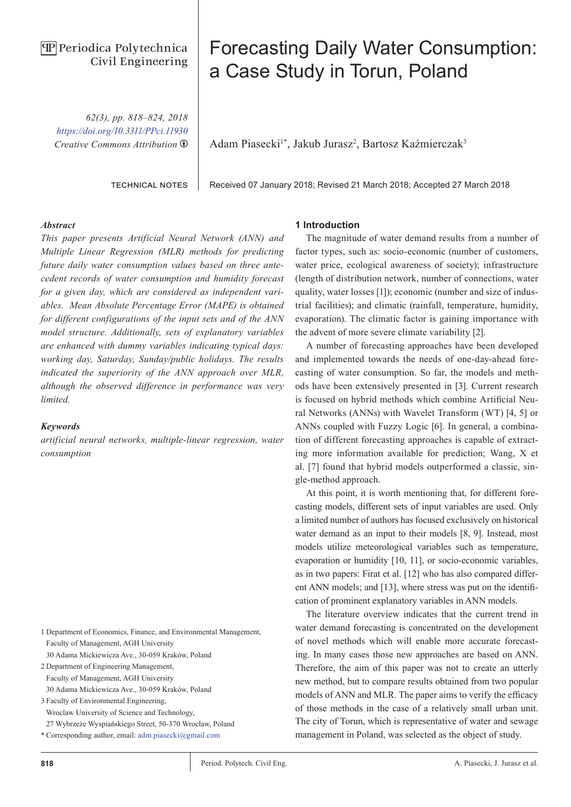# **PP** Periodica Polytechnica Civil Engineering

*62(3), pp. 818–824, 2018 <https://doi.org/10.3311/PPci.11930> Creative Commons Attribution* b

technical notes

# Forecasting Daily Water Consumption: a Case Study in Torun, Poland

Adam Piasecki<sup>1\*</sup>, Jakub Jurasz<sup>2</sup>, Bartosz Kaźmierczak<sup>3</sup>

Received 07 January 2018; Revised 21 March 2018; Accepted 27 March 2018

### *Abstract*

*This paper presents Artificial Neural Network (ANN) and Multiple Linear Regression (MLR) methods for predicting future daily water consumption values based on three antecedent records of water consumption and humidity forecast for a given day, which are considered as independent variables. Mean Absolute Percentage Error (MAPE) is obtained for different configurations of the input sets and of the ANN model structure. Additionally, sets of explanatory variables are enhanced with dummy variables indicating typical days: working day, Saturday, Sunday/public holidays. The results indicated the superiority of the ANN approach over MLR, although the observed difference in performance was very limited.* 

#### *Keywords*

*artificial neural networks, multiple-linear regression, water consumption*

- 1 Department of Economics, Finance, and Environmental Management, Faculty of Management, AGH University
- 30 Adama Mickiewicza Ave., 30-059 Kraków, Poland
- 2 Department of Engineering Management, Faculty of Management, AGH University 30 Adama Mickiewicza Ave., 30-059 Kraków, Poland
- 3 Faculty of Environmental Engineering, Wroclaw University of Science and Technology, 27 Wybrzeże Wyspiańskiego Street, 50-370 Wrocław, Poland
- 
- \* Corresponding author, email: [adm.piasecki@gmail.com](mailto:adm.piasecki%40gmail.com?subject=)

#### **1 Introduction**

The magnitude of water demand results from a number of factor types, such as: socio-economic (number of customers, water price, ecological awareness of society); infrastructure (length of distribution network, number of connections, water quality, water losses [1]); economic (number and size of industrial facilities); and climatic (rainfall, temperature, humidity, evaporation). The climatic factor is gaining importance with the advent of more severe climate variability [2].

A number of forecasting approaches have been developed and implemented towards the needs of one-day-ahead forecasting of water consumption. So far, the models and methods have been extensively presented in [3]. Current research is focused on hybrid methods which combine Artificial Neural Networks (ANNs) with Wavelet Transform (WT) [4, 5] or ANNs coupled with Fuzzy Logic [6]. In general, a combination of different forecasting approaches is capable of extracting more information available for prediction; Wang, X et al. [7] found that hybrid models outperformed a classic, single-method approach.

At this point, it is worth mentioning that, for different forecasting models, different sets of input variables are used. Only a limited number of authors has focused exclusively on historical water demand as an input to their models [8, 9]. Instead, most models utilize meteorological variables such as temperature, evaporation or humidity [10, 11], or socio-economic variables, as in two papers: Firat et al. [12] who has also compared different ANN models; and [13], where stress was put on the identification of prominent explanatory variables in ANN models.

The literature overview indicates that the current trend in water demand forecasting is concentrated on the development of novel methods which will enable more accurate forecasting. In many cases those new approaches are based on ANN. Therefore, the aim of this paper was not to create an utterly new method, but to compare results obtained from two popular models of ANN and MLR. The paper aims to verify the efficacy of those methods in the case of a relatively small urban unit. The city of Torun, which is representative of water and sewage management in Poland, was selected as the object of study.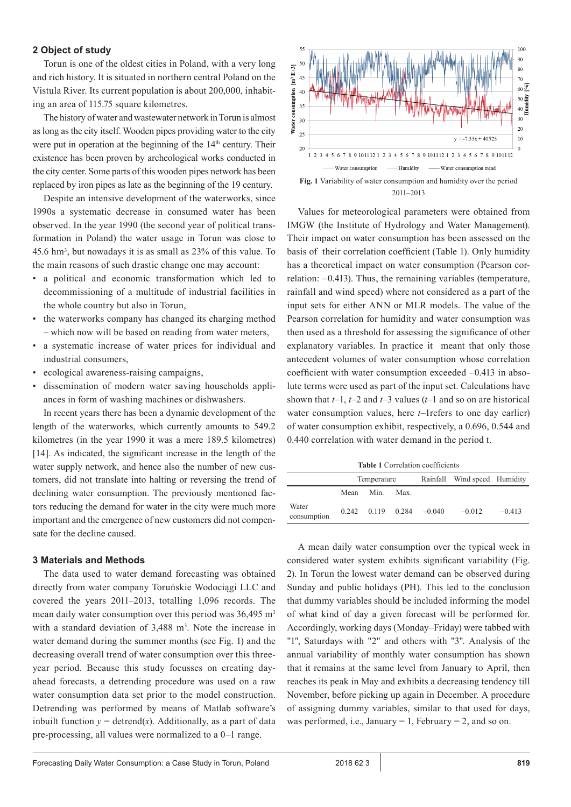# **2 Object of study**

Torun is one of the oldest cities in Poland, with a very long and rich history. It is situated in northern central Poland on the Vistula River. Its current population is about 200,000, inhabiting an area of 115.75 square kilometres.

The history of water and wastewater network in Torun is almost as long as the city itself. Wooden pipes providing water to the city were put in operation at the beginning of the  $14<sup>th</sup>$  century. Their existence has been proven by archeological works conducted in the city center. Some parts of this wooden pipes network has been replaced by iron pipes as late as the beginning of the 19 century.

Despite an intensive development of the waterworks, since 1990s a systematic decrease in consumed water has been observed. In the year 1990 (the second year of political transformation in Poland) the water usage in Torun was close to 45.6 hm<sup>3</sup> , but nowadays it is as small as 23% of this value. To the main reasons of such drastic change one may account:

- a political and economic transformation which led to decommissioning of a multitude of industrial facilities in the whole country but also in Torun,
- the waterworks company has changed its charging method – which now will be based on reading from water meters,
- a systematic increase of water prices for individual and industrial consumers,
- ecological awareness-raising campaigns,
- dissemination of modern water saving households appliances in form of washing machines or dishwashers.

In recent years there has been a dynamic development of the length of the waterworks, which currently amounts to 549.2 kilometres (in the year 1990 it was a mere 189.5 kilometres) [14]. As indicated, the significant increase in the length of the water supply network, and hence also the number of new customers, did not translate into halting or reversing the trend of declining water consumption. The previously mentioned factors reducing the demand for water in the city were much more important and the emergence of new customers did not compensate for the decline caused.

# **3 Materials and Methods**

The data used to water demand forecasting was obtained directly from water company Toruńskie Wodociągi LLC and covered the years 2011–2013, totalling 1,096 records. The mean daily water consumption over this period was 36,495 m<sup>3</sup> with a standard deviation of 3,488 m<sup>3</sup>. Note the increase in water demand during the summer months (see Fig. 1) and the decreasing overall trend of water consumption over this threeyear period. Because this study focusses on creating dayahead forecasts, a detrending procedure was used on a raw water consumption data set prior to the model construction. Detrending was performed by means of Matlab software's inbuilt function  $y = \text{determined}(x)$ . Additionally, as a part of data pre-processing, all values were normalized to a 0–1 range.



Values for meteorological parameters were obtained from IMGW (the Institute of Hydrology and Water Management). Their impact on water consumption has been assessed on the basis of their correlation coefficient (Table 1). Only humidity has a theoretical impact on water consumption (Pearson correlation: –0.413). Thus, the remaining variables (temperature, rainfall and wind speed) where not considered as a part of the input sets for either ANN or MLR models. The value of the Pearson correlation for humidity and water consumption was then used as a threshold for assessing the significance of other explanatory variables. In practice it meant that only those antecedent volumes of water consumption whose correlation coefficient with water consumption exceeded –0.413 in absolute terms were used as part of the input set. Calculations have shown that *t*–1, *t*–2 and *t*–3 values (*t*–1 and so on are historical water consumption values, here *t*–1refers to one day earlier) of water consumption exhibit, respectively, a 0.696, 0.544 and 0.440 correlation with water demand in the period t.

**Table 1** Correlation coefficients

|                      | Temperature |      |      |                                  | Rainfall Wind speed Humidity |          |
|----------------------|-------------|------|------|----------------------------------|------------------------------|----------|
|                      | Mean        | Min. | Max. |                                  |                              |          |
| Water<br>consumption |             |      |      | $0.242$ $0.119$ $0.284$ $-0.040$ | $-0.012$                     | $-0.413$ |

A mean daily water consumption over the typical week in considered water system exhibits significant variability (Fig. 2). In Torun the lowest water demand can be observed during Sunday and public holidays (PH). This led to the conclusion that dummy variables should be included informing the model of what kind of day a given forecast will be performed for. Accordingly, working days (Monday–Friday) were tabbed with "1", Saturdays with "2" and others with "3". Analysis of the annual variability of monthly water consumption has shown that it remains at the same level from January to April, then reaches its peak in May and exhibits a decreasing tendency till November, before picking up again in December. A procedure of assigning dummy variables, similar to that used for days, was performed, i.e., January = 1, February = 2, and so on.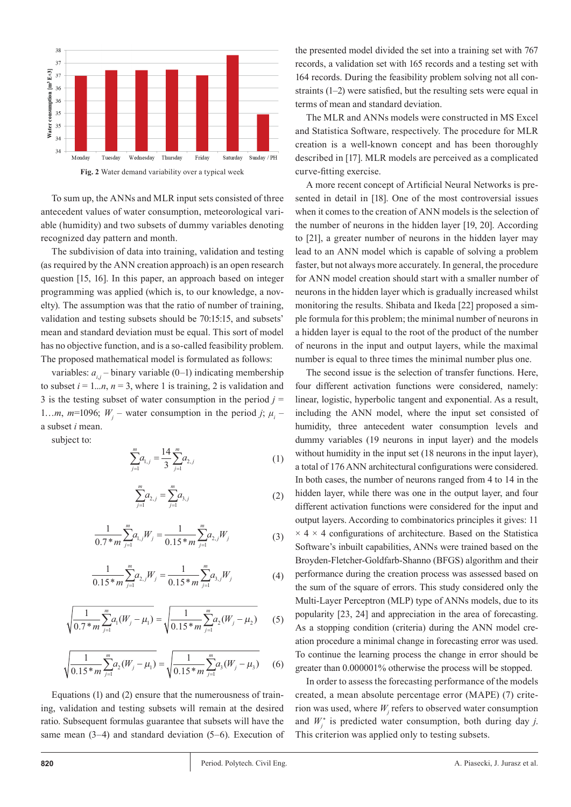

To sum up, the ANNs and MLR input sets consisted of three antecedent values of water consumption, meteorological variable (humidity) and two subsets of dummy variables denoting recognized day pattern and month.

The subdivision of data into training, validation and testing (as required by the ANN creation approach) is an open research question [15, 16]. In this paper, an approach based on integer programming was applied (which is, to our knowledge, a novelty). The assumption was that the ratio of number of training, validation and testing subsets should be 70:15:15, and subsets' mean and standard deviation must be equal. This sort of model has no objective function, and is a so-called feasibility problem. The proposed mathematical model is formulated as follows:

variables:  $a_{i,j}$  – binary variable (0–1) indicating membership to subset  $i = 1...n$ ,  $n = 3$ , where 1 is training, 2 is validation and 3 is the testing subset of water consumption in the period  $j =$ 1...*m*, *m*=1096; *W<sub>j</sub>* – water consumption in the period *j*;  $\mu$ <sub>*i*</sub> – a subset *i* mean.

subject to:

$$
\sum_{j=1}^{m} a_{1,j} = \frac{14}{3} \sum_{j=1}^{m} a_{2,j} \tag{1}
$$

$$
\sum_{j=1}^{m} a_{2,j} = \sum_{j=1}^{m} a_{3,j} \tag{2}
$$

$$
\frac{1}{0.7 \cdot m} \sum_{j=1}^{m} a_{1,j} W_j = \frac{1}{0.15 \cdot m} \sum_{j=1}^{m} a_{2,j} W_j
$$
 (3)

$$
\frac{1}{0.15 \ast m} \sum_{j=1}^{m} a_{2,j} W_j = \frac{1}{0.15 \ast m} \sum_{j=1}^{m} a_{3,j} W_j \tag{4}
$$

$$
\sqrt{\frac{1}{0.7 * m} \sum_{j=1}^{m} a_1(W_j - \mu_1)} = \sqrt{\frac{1}{0.15 * m} \sum_{j=1}^{m} a_2(W_j - \mu_2)}
$$
(5)

$$
\sqrt{\frac{1}{0.15 \cdot m} \sum_{j=1}^{m} a_2(W_j - \mu_1)} = \sqrt{\frac{1}{0.15 \cdot m} \sum_{j=1}^{m} a_3(W_j - \mu_3)}
$$
(6)

Equations (1) and (2) ensure that the numerousness of training, validation and testing subsets will remain at the desired ratio. Subsequent formulas guarantee that subsets will have the same mean (3–4) and standard deviation (5–6). Execution of the presented model divided the set into a training set with 767 records, a validation set with 165 records and a testing set with 164 records. During the feasibility problem solving not all constraints (1–2) were satisfied, but the resulting sets were equal in terms of mean and standard deviation.

The MLR and ANNs models were constructed in MS Excel and Statistica Software, respectively. The procedure for MLR creation is a well-known concept and has been thoroughly described in [17]. MLR models are perceived as a complicated curve-fitting exercise.

A more recent concept of Artificial Neural Networks is presented in detail in [18]. One of the most controversial issues when it comes to the creation of ANN models is the selection of the number of neurons in the hidden layer [19, 20]. According to [21], a greater number of neurons in the hidden layer may lead to an ANN model which is capable of solving a problem faster, but not always more accurately. In general, the procedure for ANN model creation should start with a smaller number of neurons in the hidden layer which is gradually increased whilst monitoring the results. Shibata and Ikeda [22] proposed a simple formula for this problem; the minimal number of neurons in a hidden layer is equal to the root of the product of the number of neurons in the input and output layers, while the maximal number is equal to three times the minimal number plus one.

The second issue is the selection of transfer functions. Here, four different activation functions were considered, namely: linear, logistic, hyperbolic tangent and exponential. As a result, including the ANN model, where the input set consisted of humidity, three antecedent water consumption levels and dummy variables (19 neurons in input layer) and the models without humidity in the input set (18 neurons in the input layer), a total of 176 ANN architectural configurations were considered. In both cases, the number of neurons ranged from 4 to 14 in the hidden layer, while there was one in the output layer, and four different activation functions were considered for the input and output layers. According to combinatorics principles it gives: 11  $\times$  4  $\times$  4 configurations of architecture. Based on the Statistica Software's inbuilt capabilities, ANNs were trained based on the Broyden-Fletcher-Goldfarb-Shanno (BFGS) algorithm and their performance during the creation process was assessed based on the sum of the square of errors. This study considered only the Multi-Layer Perceptron (MLP) type of ANNs models, due to its popularity [23, 24] and appreciation in the area of forecasting. As a stopping condition (criteria) during the ANN model creation procedure a minimal change in forecasting error was used. To continue the learning process the change in error should be greater than 0.000001% otherwise the process will be stopped.

In order to assess the forecasting performance of the models created, a mean absolute percentage error (MAPE) (7) criterion was used, where  $W_j$  refers to observed water consumption and  $W_j^*$  is predicted water consumption, both during day *j*. This criterion was applied only to testing subsets.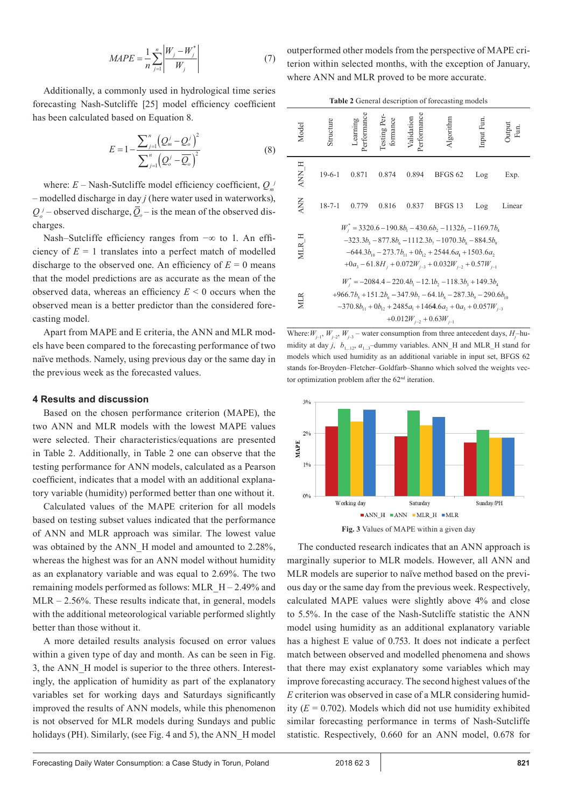$$
MAPE = \frac{1}{n} \sum_{j=1}^{n} \left| \frac{W_j - W_j^*}{W_j} \right| \tag{7}
$$

Additionally, a commonly used in hydrological time series forecasting Nash-Sutcliffe [25] model efficiency coefficient has been calculated based on Equation 8.

$$
E = 1 - \frac{\sum_{j=1}^{n} (Q_{m}^{j} - Q_{o}^{j})^{2}}{\sum_{j=1}^{n} (Q_{o}^{j} - \overline{Q_{o}})^{2}}
$$
(8)

where:  $E$  – Nash-Sutcliffe model efficiency coefficient,  $Q_m$ – modelled discharge in day *j* (here water used in waterworks),  $Q_o^j$  – observed discharge,  $Q_o$  – is the mean of the observed discharges.

Nash–Sutcliffe efficiency ranges from −∞ to 1. An efficiency of  $E = 1$  translates into a perfect match of modelled discharge to the observed one. An efficiency of  $E = 0$  means that the model predictions are as accurate as the mean of the observed data, whereas an efficiency *E* < 0 occurs when the observed mean is a better predictor than the considered forecasting model.

Apart from MAPE and E criteria, the ANN and MLR models have been compared to the forecasting performance of two naïve methods. Namely, using previous day or the same day in the previous week as the forecasted values.

#### **4 Results and discussion**

Based on the chosen performance criterion (MAPE), the two ANN and MLR models with the lowest MAPE values were selected. Their characteristics/equations are presented in Table 2. Additionally, in Table 2 one can observe that the testing performance for ANN models, calculated as a Pearson coefficient, indicates that a model with an additional explanatory variable (humidity) performed better than one without it.

Calculated values of the MAPE criterion for all models based on testing subset values indicated that the performance of ANN and MLR approach was similar. The lowest value was obtained by the ANN H model and amounted to 2.28%, whereas the highest was for an ANN model without humidity as an explanatory variable and was equal to 2.69%. The two remaining models performed as follows: MLR  $H - 2.49%$  and  $MLR - 2.56\%$ . These results indicate that, in general, models with the additional meteorological variable performed slightly better than those without it.

A more detailed results analysis focused on error values within a given type of day and month. As can be seen in Fig. 3, the ANN\_H model is superior to the three others. Interestingly, the application of humidity as part of the explanatory variables set for working days and Saturdays significantly improved the results of ANN models, while this phenomenon is not observed for MLR models during Sundays and public holidays (PH). Similarly, (see Fig. 4 and 5), the ANN H model outperformed other models from the perspective of MAPE criterion within selected months, with the exception of January, where ANN and MLR proved to be more accurate.

| Table 2 General description of forecasting models                                                                                                                                                                                                                          |              |                         |                          |                          |                |           |        |  |  |  |
|----------------------------------------------------------------------------------------------------------------------------------------------------------------------------------------------------------------------------------------------------------------------------|--------------|-------------------------|--------------------------|--------------------------|----------------|-----------|--------|--|--|--|
| Model                                                                                                                                                                                                                                                                      | tructure     | Learning<br>Performance | Testing Per-<br>formance | erformance<br>Validation | lgorithm       | Input Fun |        |  |  |  |
| H NNA                                                                                                                                                                                                                                                                      | $19-6-1$     | 0.871                   | 0.874                    | 0.894                    | <b>BFGS 62</b> | Log       | Exp.   |  |  |  |
| <b>ANN</b>                                                                                                                                                                                                                                                                 | $18 - 7 - 1$ | 0.779                   | 0.816                    | 0.837                    | BFGS 13        | Log       | Linear |  |  |  |
| $W_i^* = 3320.6 - 190.8b_1 - 430.6b_2 - 1132b_3 - 1169.7b_4$<br>$-323.3b_5 - 877.8b_6 - 1112.3b_7 - 1070.3b_8 - 884.5b_9$<br><b>MLR</b><br>$-644.3b_{10} - 273.7b_{11} + 0b_{12} + 2544.6a_1 + 1503.6a_2$<br>$+0a_3 - 61.8H_1 + 0.072W_{i-3} + 0.032W_{i-2} + 0.57W_{i-1}$ |              |                         |                          |                          |                |           |        |  |  |  |
| $W_i^* = -2084.4 - 220.4b_1 - 12.1b_2 - 118.3b_3 + 149.3b_4$<br>$+966.7b_5 + 151.2b_6 - 347.9b_7 - 64.1b_8 - 287.3b_9 - 290.6b_{10}$<br>$-370.8b_{11} + 0b_{12} + 2485a_1 + 1464.6a_2 + 0a_3 + 0.057W_{i-3}$<br>$+0.012W_{i-2} + 0.63W_{i-1}$                              |              |                         |                          |                          |                |           |        |  |  |  |

Where:  $W_{j-1}$ ,  $W_{j-2}$ ,  $W_{j-3}$  – water consumption from three antecedent days,  $H_j$ -humidity at day  $j$ ,  $b$ <sub>1...12</sub>,  $a$ <sub>1...3</sub>–dummy variables. ANN\_H and MLR\_H stand for models which used humidity as an additional variable in input set, BFGS 62 stands for-Broyden–Fletcher–Goldfarb–Shanno which solved the weights vector optimization problem after the 62<sup>nd</sup> iteration.



**Fig. 3** Values of MAPE within a given day

The conducted research indicates that an ANN approach is marginally superior to MLR models. However, all ANN and MLR models are superior to naïve method based on the previous day or the same day from the previous week. Respectively, calculated MAPE values were slightly above 4% and close to 5.5%. In the case of the Nash-Sutcliffe statistic the ANN model using humidity as an additional explanatory variable has a highest E value of 0.753. It does not indicate a perfect match between observed and modelled phenomena and shows that there may exist explanatory some variables which may improve forecasting accuracy. The second highest values of the *E* criterion was observed in case of a MLR considering humidity  $(E = 0.702)$ . Models which did not use humidity exhibited similar forecasting performance in terms of Nash-Sutcliffe statistic. Respectively, 0.660 for an ANN model, 0.678 for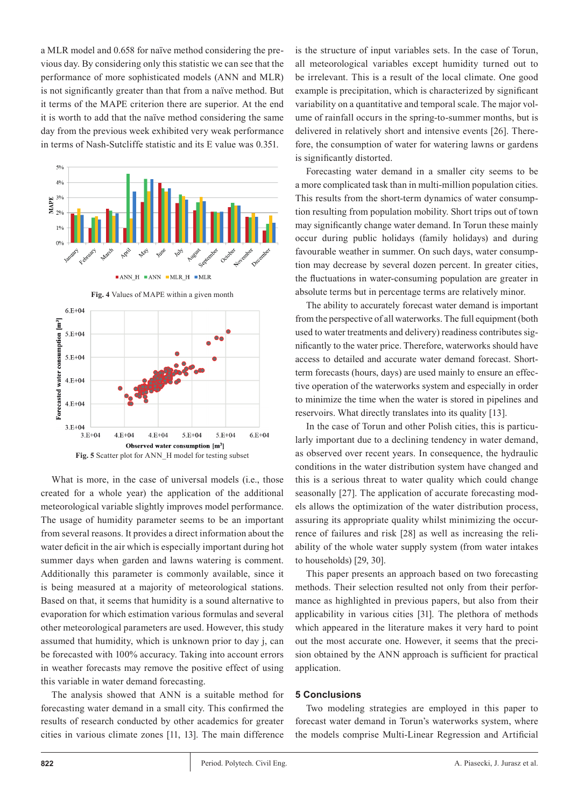a MLR model and 0.658 for naïve method considering the previous day. By considering only this statistic we can see that the performance of more sophisticated models (ANN and MLR) is not significantly greater than that from a naïve method. But it terms of the MAPE criterion there are superior. At the end it is worth to add that the naïve method considering the same day from the previous week exhibited very weak performance in terms of Nash-Sutcliffe statistic and its E value was 0.351.





What is more, in the case of universal models (i.e., those created for a whole year) the application of the additional meteorological variable slightly improves model performance. The usage of humidity parameter seems to be an important from several reasons. It provides a direct information about the water deficit in the air which is especially important during hot summer days when garden and lawns watering is comment. Additionally this parameter is commonly available, since it is being measured at a majority of meteorological stations. Based on that, it seems that humidity is a sound alternative to evaporation for which estimation various formulas and several other meteorological parameters are used. However, this study assumed that humidity, which is unknown prior to day j, can be forecasted with 100% accuracy. Taking into account errors in weather forecasts may remove the positive effect of using this variable in water demand forecasting.

The analysis showed that ANN is a suitable method for forecasting water demand in a small city. This confirmed the results of research conducted by other academics for greater cities in various climate zones [11, 13]. The main difference

is the structure of input variables sets. In the case of Torun, all meteorological variables except humidity turned out to be irrelevant. This is a result of the local climate. One good example is precipitation, which is characterized by significant variability on a quantitative and temporal scale. The major volume of rainfall occurs in the spring-to-summer months, but is delivered in relatively short and intensive events [26]. Therefore, the consumption of water for watering lawns or gardens is significantly distorted.

Forecasting water demand in a smaller city seems to be a more complicated task than in multi-million population cities. This results from the short-term dynamics of water consumption resulting from population mobility. Short trips out of town may significantly change water demand. In Torun these mainly occur during public holidays (family holidays) and during favourable weather in summer. On such days, water consumption may decrease by several dozen percent. In greater cities, the fluctuations in water-consuming population are greater in absolute terms but in percentage terms are relatively minor.

The ability to accurately forecast water demand is important from the perspective of all waterworks. The full equipment (both used to water treatments and delivery) readiness contributes significantly to the water price. Therefore, waterworks should have access to detailed and accurate water demand forecast. Shortterm forecasts (hours, days) are used mainly to ensure an effective operation of the waterworks system and especially in order to minimize the time when the water is stored in pipelines and reservoirs. What directly translates into its quality [13].

In the case of Torun and other Polish cities, this is particularly important due to a declining tendency in water demand, as observed over recent years. In consequence, the hydraulic conditions in the water distribution system have changed and this is a serious threat to water quality which could change seasonally [27]. The application of accurate forecasting models allows the optimization of the water distribution process, assuring its appropriate quality whilst minimizing the occurrence of failures and risk [28] as well as increasing the reliability of the whole water supply system (from water intakes to households) [29, 30].

This paper presents an approach based on two forecasting methods. Their selection resulted not only from their performance as highlighted in previous papers, but also from their applicability in various cities [31]. The plethora of methods which appeared in the literature makes it very hard to point out the most accurate one. However, it seems that the precision obtained by the ANN approach is sufficient for practical application.

### **5 Conclusions**

Two modeling strategies are employed in this paper to forecast water demand in Torun's waterworks system, where the models comprise Multi-Linear Regression and Artificial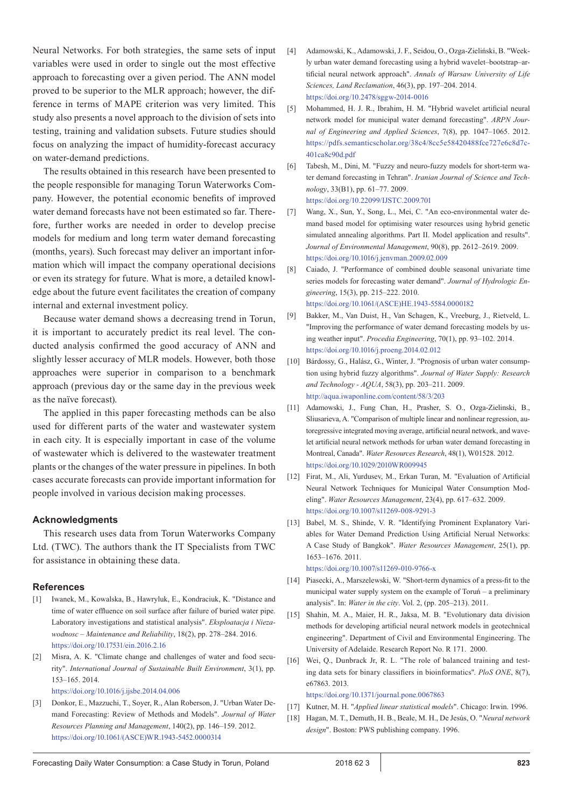Neural Networks. For both strategies, the same sets of input variables were used in order to single out the most effective approach to forecasting over a given period. The ANN model proved to be superior to the MLR approach; however, the difference in terms of MAPE criterion was very limited. This study also presents a novel approach to the division of sets into testing, training and validation subsets. Future studies should focus on analyzing the impact of humidity-forecast accuracy on water-demand predictions.

The results obtained in this research have been presented to the people responsible for managing Torun Waterworks Company. However, the potential economic benefits of improved water demand forecasts have not been estimated so far. Therefore, further works are needed in order to develop precise models for medium and long term water demand forecasting (months, years). Such forecast may deliver an important information which will impact the company operational decisions or even its strategy for future. What is more, a detailed knowledge about the future event facilitates the creation of company internal and external investment policy.

Because water demand shows a decreasing trend in Torun, it is important to accurately predict its real level. The conducted analysis confirmed the good accuracy of ANN and slightly lesser accuracy of MLR models. However, both those approaches were superior in comparison to a benchmark approach (previous day or the same day in the previous week as the naïve forecast).

The applied in this paper forecasting methods can be also used for different parts of the water and wastewater system in each city. It is especially important in case of the volume of wastewater which is delivered to the wastewater treatment plants or the changes of the water pressure in pipelines. In both cases accurate forecasts can provide important information for people involved in various decision making processes.

### **Acknowledgments**

This research uses data from Torun Waterworks Company Ltd. (TWC). The authors thank the IT Specialists from TWC for assistance in obtaining these data.

#### **References**

- [1] Iwanek, M., Kowalska, B., Hawryluk, E., Kondraciuk, K. "Distance and time of water effluence on soil surface after failure of buried water pipe. Laboratory investigations and statistical analysis". *Eksploatacja i Niezawodnosc – Maintenance and Reliability*, 18(2), pp. 278–284. 2016. <https://doi.org/10.17531/ein.2016.2.16>
- [2] Misra, A. K. "Climate change and challenges of water and food security". *International Journal of Sustainable Built Environment*, 3(1), pp. 153–165. 2014.

<https://doi.org/10.1016/j.ijsbe.2014.04.006>

[3] Donkor, E., Mazzuchi, T., Soyer, R., Alan Roberson, J. "Urban Water Demand Forecasting: Review of Methods and Models". *Journal of Water Resources Planning and Management*, 140(2), pp. 146–159. 2012. [https://doi.org/10.1061/\(ASCE\)WR.1943-5452.0000314](https://doi.org/10.1061/(ASCE)WR.1943-5452.0000314)

- [4] Adamowski, K., Adamowski, J. F., Seidou, O., Ozga-Zieliński, B. "Weekly urban water demand forecasting using a hybrid wavelet–bootstrap–artificial neural network approach". *Annals of Warsaw University of Life Sciences, Land Reclamation*, 46(3), pp. 197–204. 2014. <https://doi.org/10.2478/sggw-2014-0016>
- [5] Mohammed, H. J. R., Ibrahim, H. M. "Hybrid wavelet artificial neural network model for municipal water demand forecasting". *ARPN Journal of Engineering and Applied Sciences*, 7(8), pp. 1047–1065. 2012. [https://pdfs.semanticscholar.org/38c4/8cc5e58420488fce727e6c8d7c](https://pdfs.semanticscholar.org/38c4/8cc5e58420488fce727e6c8d7c401ca8c90d.pdf)-[401ca8c90d.pdf](https://pdfs.semanticscholar.org/38c4/8cc5e58420488fce727e6c8d7c401ca8c90d.pdf)
- [6] Tabesh, M., Dini, M. "Fuzzy and neuro-fuzzy models for short-term water demand forecasting in Tehran". *Iranian Journal of Science and Technology*, 33(B1), pp. 61–77. 2009. [https://doi.org/10.22099/IJSTC.2009.701](http://ijstc.shirazu.ac.ir/article_701_0.html)
- [7] Wang, X., Sun, Y., Song, L., Mei, C. "An eco-environmental water demand based model for optimising water resources using hybrid genetic simulated annealing algorithms. Part II. Model application and results". *Journal of Environmental Management*, 90(8), pp. 2612–2619. 2009. <https://doi.org/10.1016/j.jenvman.2009.02.009>
- [8] Caiado, J. "Performance of combined double seasonal univariate time series models for forecasting water demand". *Journal of Hydrologic Engineering*, 15(3), pp. 215–222. 2010. [https://doi.org/10.1061/\(ASCE\)HE.1943-5584.0000182](https://doi.org/10.1061/(ASCE)HE.1943-5584.0000182)
- [9] Bakker, M., Van Duist, H., Van Schagen, K., Vreeburg, J., Rietveld, L. "Improving the performance of water demand forecasting models by using weather input". *Procedia Engineering*, 70(1), pp. 93–102. 2014. <https://doi.org/10.1016/j.proeng.2014.02.012>
- [10] Bárdossy, G., Halász, G., Winter, J. "Prognosis of urban water consumption using hybrid fuzzy algorithms". *Journal of Water Supply: Research and Technology - AQUA*, 58(3), pp. 203–211. 2009. <http://aqua.iwaponline.com/content/58/3/203>
- [11] Adamowski, J., Fung Chan, H., Prasher, S. O., Ozga-Zielinski, B., Sliusarieva, A. "Comparison of multiple linear and nonlinear regression, autoregressive integrated moving average, artificial neural network, and wavelet artificial neural network methods for urban water demand forecasting in Montreal, Canada". *Water Resources Research*, 48(1), W01528. 2012. <https://doi.org/10.1029/2010WR009945>
- [12] Firat, M., Ali, Yurdusev, M., Erkan Turan, M. "Evaluation of Artificial Neural Network Techniques for Municipal Water Consumption Modeling". *Water Resources Management*, 23(4), pp. 617–632. 2009. <https://doi.org/10.1007/s11269-008-9291-3>
- [13] Babel, M. S., Shinde, V. R. "Identifying Prominent Explanatory Variables for Water Demand Prediction Using Artificial Nerual Networks: A Case Study of Bangkok". *Water Resources Management*, 25(1), pp. 1653–1676. 2011.
- <https://doi.org/10.1007/s11269-010-9766-x> [14] Piasecki, A., Marszelewski, W. "Short-term dynamics of a press-fit to the municipal water supply system on the example of Toruń – a preliminary
- analysis". In: *Water in the city*. Vol. 2, (pp. 205–213). 2011. [15] Shahin, M. A., Maier, H. R., Jaksa, M. B. "Evolutionary data division methods for developing artificial neural network models in geotechnical engineering". Department of Civil and Environmental Engineering. The
- University of Adelaide. Research Report No. R 171. 2000. [16] Wei, Q., Dunbrack Jr, R. L. "The role of balanced training and testing data sets for binary classifiers in bioinformatics". *PloS ONE*, 8(7), e67863. 2013.

<https://doi.org/10.1371/journal.pone.0067863>

- [17] Kutner, M. H. "*Applied linear statistical models*". Chicago: Irwin. 1996.
- [18] Hagan, M. T., Demuth, H. B., Beale, M. H., De Jesús, O. "*Neural network design*". Boston: PWS publishing company. 1996.